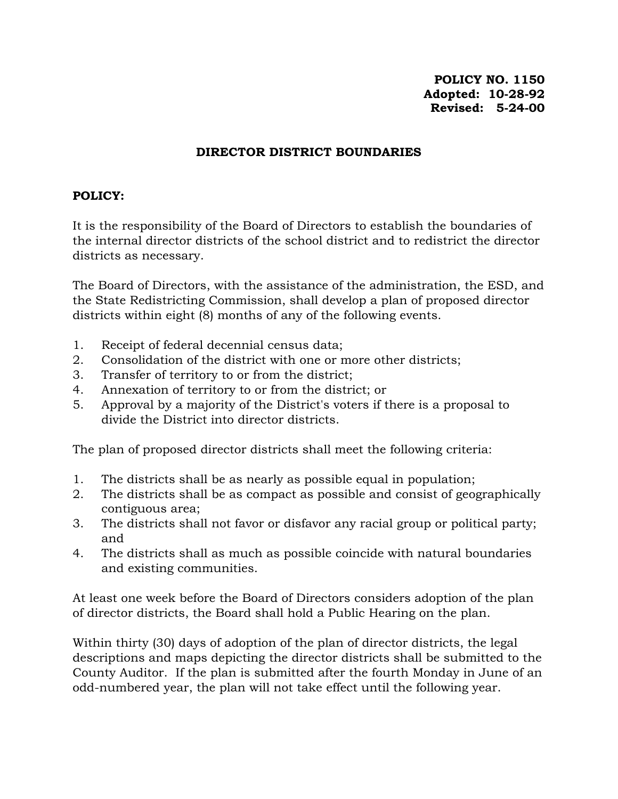**POLICY NO. 1150 Adopted: 10-28-92 Revised: 5-24-00**

## **DIRECTOR DISTRICT BOUNDARIES**

## **POLICY:**

It is the responsibility of the Board of Directors to establish the boundaries of the internal director districts of the school district and to redistrict the director districts as necessary.

The Board of Directors, with the assistance of the administration, the ESD, and the State Redistricting Commission, shall develop a plan of proposed director districts within eight (8) months of any of the following events.

- 1. Receipt of federal decennial census data;
- 2. Consolidation of the district with one or more other districts;
- 3. Transfer of territory to or from the district;
- 4. Annexation of territory to or from the district; or
- 5. Approval by a majority of the District's voters if there is a proposal to divide the District into director districts.

The plan of proposed director districts shall meet the following criteria:

- 1. The districts shall be as nearly as possible equal in population;
- 2. The districts shall be as compact as possible and consist of geographically contiguous area;
- 3. The districts shall not favor or disfavor any racial group or political party; and
- 4. The districts shall as much as possible coincide with natural boundaries and existing communities.

At least one week before the Board of Directors considers adoption of the plan of director districts, the Board shall hold a Public Hearing on the plan.

Within thirty (30) days of adoption of the plan of director districts, the legal descriptions and maps depicting the director districts shall be submitted to the County Auditor. If the plan is submitted after the fourth Monday in June of an odd-numbered year, the plan will not take effect until the following year.